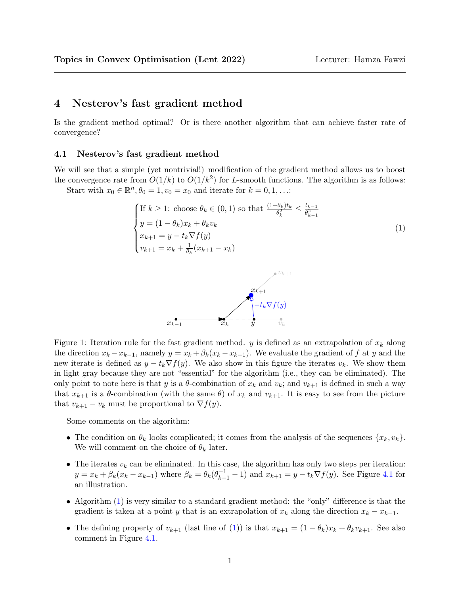## 4 Nesterov's fast gradient method

Is the gradient method optimal? Or is there another algorithm that can achieve faster rate of convergence?

## 4.1 Nesterov's fast gradient method

We will see that a simple (yet nontrivial!) modification of the gradient method allows us to boost the convergence rate from  $O(1/k)$  to  $O(1/k^2)$  for L-smooth functions. The algorithm is as follows: Start with  $x_0 \in \mathbb{R}^n$ ,  $\theta_0 = 1$ ,  $v_0 = x_0$  and iterate for  $k = 0, 1, \ldots$ :

<span id="page-0-0"></span>If 
$$
k \ge 1
$$
: choose  $\theta_k \in (0, 1)$  so that  $\frac{(1 - \theta_k)t_k}{\theta_k^2} \le \frac{t_{k-1}}{\theta_{k-1}^2}$   
\n
$$
y = (1 - \theta_k)x_k + \theta_k v_k
$$
\n
$$
x_{k+1} = y - t_k \nabla f(y)
$$
\n
$$
v_{k+1} = x_k + \frac{1}{\theta_k}(x_{k+1} - x_k)
$$
\n(1)



Figure 1: Iteration rule for the fast gradient method. y is defined as an extrapolation of  $x_k$  along the direction  $x_k - x_{k-1}$ , namely  $y = x_k + \beta_k(x_k - x_{k-1})$ . We evaluate the gradient of f at y and the new iterate is defined as  $y - t_k \nabla f(y)$ . We also show in this figure the iterates  $v_k$ . We show them in light gray because they are not "essential" for the algorithm (i.e., they can be eliminated). The only point to note here is that y is a  $\theta$ -combination of  $x_k$  and  $v_k$ ; and  $v_{k+1}$  is defined in such a way that  $x_{k+1}$  is a  $\theta$ -combination (with the same  $\theta$ ) of  $x_k$  and  $v_{k+1}$ . It is easy to see from the picture that  $v_{k+1} - v_k$  must be proportional to  $\nabla f(y)$ .

Some comments on the algorithm:

- The condition on  $\theta_k$  looks complicated; it comes from the analysis of the sequences  $\{x_k, v_k\}$ . We will comment on the choice of  $\theta_k$  later.
- The iterates  $v_k$  can be eliminated. In this case, the algorithm has only two steps per iteration:  $y = x_k + \beta_k(x_k - x_{k-1})$  where  $\beta_k = \theta_k(\theta_{k-1}^{-1} - 1)$  and  $x_{k+1} = y - t_k \nabla f(y)$ . See Figure [4.1](#page-0-0) for an illustration.
- Algorithm [\(1\)](#page-0-0) is very similar to a standard gradient method: the "only" difference is that the gradient is taken at a point y that is an extrapolation of  $x_k$  along the direction  $x_k - x_{k-1}$ .
- The defining property of  $v_{k+1}$  (last line of [\(1\)](#page-0-0)) is that  $x_{k+1} = (1 \theta_k)x_k + \theta_k v_{k+1}$ . See also comment in Figure [4.1.](#page-0-0)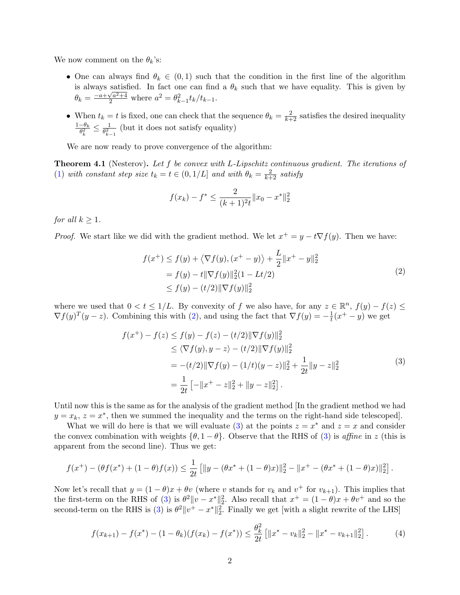We now comment on the  $\theta_k$ 's:

- One can always find  $\theta_k \in (0,1)$  such that the condition in the first line of the algorithm is always satisfied. In fact one can find a  $\theta_k$  such that we have equality. This is given by  $\theta_k = \frac{-a + \sqrt{a^2 + 4}}{2}$  where  $a^2 = \theta_{k-1}^2 t_k/t_{k-1}$ .
- When  $t_k = t$  is fixed, one can check that the sequence  $\theta_k = \frac{2}{k+2}$  satisfies the desired inequality  $\frac{1-\theta_k}{\pi}$  $\frac{-\theta_k}{\theta_k^2} \leq \frac{1}{\theta_{k-}^2}$  $\frac{1}{\theta_{k-1}^2}$  (but it does not satisfy equality)

We are now ready to prove convergence of the algorithm:

**Theorem 4.1** (Nesterov). Let f be convex with L-Lipschitz continuous gradient. The iterations of [\(1\)](#page-0-0) with constant step size  $t_k = t \in (0, 1/L]$  and with  $\theta_k = \frac{2}{k+2}$  satisfy

$$
f(x_k) - f^* \le \frac{2}{(k+1)^2 t} ||x_0 - x^*||_2^2
$$

for all  $k \geq 1$ .

*Proof.* We start like we did with the gradient method. We let  $x^+ = y - t \nabla f(y)$ . Then we have:

<span id="page-1-0"></span>
$$
f(x^{+}) \le f(y) + \langle \nabla f(y), (x^{+} - y) \rangle + \frac{L}{2} ||x^{+} - y||_{2}^{2}
$$
  
=  $f(y) - t ||\nabla f(y)||_{2}^{2} (1 - Lt/2)$   
 $\le f(y) - (t/2) ||\nabla f(y)||_{2}^{2}$  (2)

where we used that  $0 < t \leq 1/L$ . By convexity of f we also have, for any  $z \in \mathbb{R}^n$ ,  $f(y) - f(z) \leq$  $\nabla f(y)^T (y-z)$ . Combining this with [\(2\)](#page-1-0), and using the fact that  $\nabla f(y) = -\frac{1}{t}$  $\frac{1}{t}(x^+ - y)$  we get

<span id="page-1-1"></span>
$$
f(x^{+}) - f(z) \le f(y) - f(z) - (t/2) \|\nabla f(y)\|_{2}^{2}
$$
  
\n
$$
\le \langle \nabla f(y), y - z \rangle - (t/2) \|\nabla f(y)\|_{2}^{2}
$$
  
\n
$$
= -(t/2) \|\nabla f(y) - (1/t)(y - z)\|_{2}^{2} + \frac{1}{2t} \|y - z\|_{2}^{2}
$$
  
\n
$$
= \frac{1}{2t} \left[ -\|x^{+} - z\|_{2}^{2} + \|y - z\|_{2}^{2} \right].
$$
\n(3)

Until now this is the same as for the analysis of the gradient method [In the gradient method we had  $y = x_k$ ,  $z = x^*$ , then we summed the inequality and the terms on the right-hand side telescoped.

What we will do here is that we will evaluate [\(3\)](#page-1-1) at the points  $z = x^*$  and  $z = x$  and consider the convex combination with weights  $\{\theta, 1 - \theta\}$ . Observe that the RHS of [\(3\)](#page-1-1) is *affine* in z (this is apparent from the second line). Thus we get:

$$
f(x^+) - (\theta f(x^*) + (1 - \theta)f(x)) \leq \frac{1}{2t} \left[ \|y - (\theta x^* + (1 - \theta)x)\|_2^2 - \|x^+ - (\theta x^* + (1 - \theta)x)\|_2^2 \right].
$$

Now let's recall that  $y = (1 - \theta)x + \theta v$  (where v stands for  $v_k$  and  $v^+$  for  $v_{k+1}$ ). This implies that the first-term on the RHS of [\(3\)](#page-1-1) is  $\theta^2 ||v - x^*||_2^2$ . Also recall that  $x^+ = (1 - \theta)x + \theta v^+$  and so the second-term on the RHS is [\(3\)](#page-1-1) is  $\theta^2 ||v^+ - x^*||_2^2$ . Finally we get [with a slight rewrite of the LHS]

$$
f(x_{k+1}) - f(x^*) - (1 - \theta_k)(f(x_k) - f(x^*)) \le \frac{\theta_k^2}{2t} \left[ \|x^* - v_k\|_2^2 - \|x^* - v_{k+1}\|_2^2 \right]. \tag{4}
$$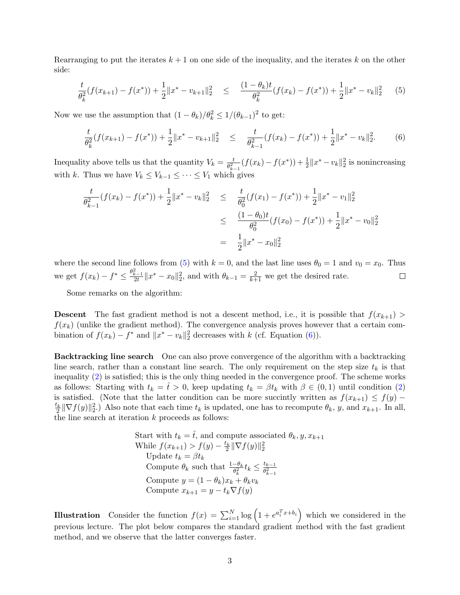Rearranging to put the iterates  $k + 1$  on one side of the inequality, and the iterates k on the other side:

<span id="page-2-0"></span>
$$
\frac{t}{\theta_k^2}(f(x_{k+1}) - f(x^*)) + \frac{1}{2}||x^* - v_{k+1}||_2^2 \leq \frac{(1 - \theta_k)t}{\theta_k^2}(f(x_k) - f(x^*)) + \frac{1}{2}||x^* - v_k||_2^2 \tag{5}
$$

Now we use the assumption that  $(1 - \theta_k)/\theta_k^2 \le 1/(\theta_{k-1})^2$  to get:

<span id="page-2-1"></span>
$$
\frac{t}{\theta_k^2}(f(x_{k+1}) - f(x^*)) + \frac{1}{2}||x^* - v_{k+1}||_2^2 \leq \frac{t}{\theta_{k-1}^2}(f(x_k) - f(x^*)) + \frac{1}{2}||x^* - v_k||_2^2. \tag{6}
$$

Inequality above tells us that the quantity  $V_k = \frac{t}{\theta^2}$  $\frac{t}{\theta_{k-1}^2}(f(x_k)-f(x^*))+\frac{1}{2}\|x^*-v_k\|_2^2$  is nonincreasing with k. Thus we have  $V_k \leq V_{k-1} \leq \cdots \leq V_1$  which gives

$$
\frac{t}{\theta_{k-1}^2} (f(x_k) - f(x^*)) + \frac{1}{2} \|x^* - v_k\|_2^2 \leq \frac{t}{\theta_0^2} (f(x_1) - f(x^*)) + \frac{1}{2} \|x^* - v_1\|_2^2
$$
\n
$$
\leq \frac{(1 - \theta_0)t}{\theta_0^2} (f(x_0) - f(x^*)) + \frac{1}{2} \|x^* - v_0\|_2^2
$$
\n
$$
= \frac{1}{2} \|x^* - x_0\|_2^2
$$

where the second line follows from [\(5\)](#page-2-0) with  $k = 0$ , and the last line uses  $\theta_0 = 1$  and  $v_0 = x_0$ . Thus we get  $f(x_k) - f^* \leq \frac{\theta_{k-1}^2}{2t} \|x^* - x_0\|_2^2$ , and with  $\theta_{k-1} = \frac{2}{k+1}$  we get the desired rate.  $\Box$ 

Some remarks on the algorithm:

**Descent** The fast gradient method is not a descent method, i.e., it is possible that  $f(x_{k+1})$  $f(x_k)$  (unlike the gradient method). The convergence analysis proves however that a certain combination of  $f(x_k) - f^*$  and  $||x^* - v_k||_2^2$  decreases with k (cf. Equation [\(6\)](#page-2-1)).

Backtracking line search One can also prove convergence of the algorithm with a backtracking line search, rather than a constant line search. The only requirement on the step size  $t_k$  is that inequality [\(2\)](#page-1-0) is satisfied; this is the only thing needed in the convergence proof. The scheme works as follows: Starting with  $t_k = \hat{t} > 0$ , keep updating  $t_k = \beta t_k$  with  $\beta \in (0,1)$  until condition [\(2\)](#page-1-0) is satisfied. (Note that the latter condition can be more succintly written as  $f(x_{k+1}) \leq f(y)$  –  $\frac{t_k}{2} \|\nabla f(y)\|_2^2$ .) Also note that each time  $t_k$  is updated, one has to recompute  $\theta_k$ , y, and  $x_{k+1}$ . In all, the line search at iteration  $k$  proceeds as follows:

> Start with  $t_k = \hat{t}$ , and compute associated  $\theta_k, y, x_{k+1}$ While  $f(x_{k+1}) > f(y) - \frac{t_k}{2} \|\nabla f(y)\|_2^2$ Update  $t_k = \beta t_k$ Compute  $\theta_k$  such that  $\frac{1-\theta_k}{\theta_k^2}t_k \leq \frac{t_{k-1}}{\theta_{k-1}^2}$  $\overline{\theta_{k-1}^2}$ Compute  $y = (1 - \theta_k)x_k + \theta_k v_k$ Compute  $x_{k+1} = y - t_k \nabla f(y)$

**Illustration** Consider the function  $f(x) = \sum_{i=1}^{N} \log(1 + e^{a_i^T x + b_i})$  which we considered in the previous lecture. The plot below compares the standard gradient method with the fast gradient method, and we observe that the latter converges faster.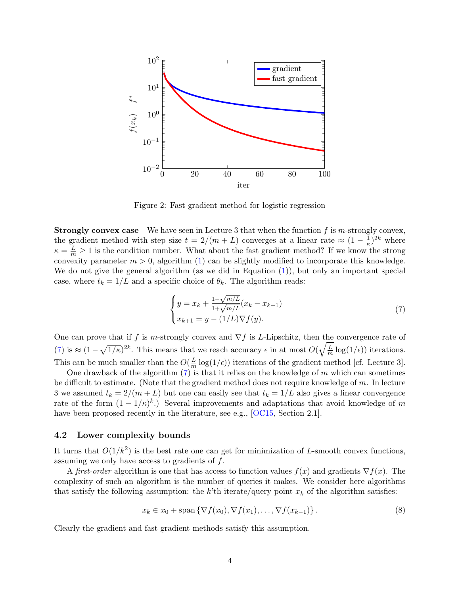<span id="page-3-2"></span>

Figure 2: Fast gradient method for logistic regression

**Strongly convex case** We have seen in Lecture 3 that when the function  $f$  is m-strongly convex, the gradient method with step size  $t = 2/(m+L)$  converges at a linear rate  $\approx (1 - \frac{1}{\kappa})$  $(\frac{1}{\kappa})^{2k}$  where  $\kappa = \frac{L}{m} \ge 1$  is the condition number. What about the fast gradient method? If we know the strong convexity parameter  $m > 0$ , algorithm [\(1\)](#page-0-0) can be slightly modified to incorporate this knowledge. We do not give the general algorithm (as we did in Equation [\(1\)](#page-0-0)), but only an important special case, where  $t_k = 1/L$  and a specific choice of  $\theta_k$ . The algorithm reads:

<span id="page-3-0"></span>
$$
\begin{cases}\ny = x_k + \frac{1 - \sqrt{m/L}}{1 + \sqrt{m/L}} (x_k - x_{k-1}) \\
x_{k+1} = y - (1/L) \nabla f(y).\n\end{cases} \tag{7}
$$

One can prove that if f is m-strongly convex and  $\nabla f$  is L-Lipschitz, then the convergence rate of [\(7\)](#page-3-0) is  $\approx (1 - \sqrt{1/\kappa})^{2k}$ . This means that we reach accuracy  $\epsilon$  in at most  $O(\sqrt{\frac{L}{m}})$  $\frac{L}{m} \log(1/\epsilon)$  iterations. This can be much smaller than the  $O(\frac{L}{m})$  $\frac{L}{m} \log(1/\epsilon)$  iterations of the gradient method [cf. Lecture 3].

One drawback of the algorithm  $(7)$  is that it relies on the knowledge of m which can sometimes be difficult to estimate. (Note that the gradient method does not require knowledge of  $m$ . In lecture 3 we assumed  $t_k = 2/(m+L)$  but one can easily see that  $t_k = 1/L$  also gives a linear convergence rate of the form  $(1 - 1/\kappa)^k$ .) Several improvements and adaptations that avoid knowledge of m have been proposed recently in the literature, see e.g., [\[OC15,](#page-5-0) Section 2.1].

## 4.2 Lower complexity bounds

It turns that  $O(1/k^2)$  is the best rate one can get for minimization of L-smooth convex functions, assuming we only have access to gradients of f.

A first-order algorithm is one that has access to function values  $f(x)$  and gradients  $\nabla f(x)$ . The complexity of such an algorithm is the number of queries it makes. We consider here algorithms that satisfy the following assumption: the k'th iterate/query point  $x_k$  of the algorithm satisfies:

<span id="page-3-1"></span>
$$
x_k \in x_0 + \text{span}\left\{\nabla f(x_0), \nabla f(x_1), \dots, \nabla f(x_{k-1})\right\}.
$$
\n(8)

Clearly the gradient and fast gradient methods satisfy this assumption.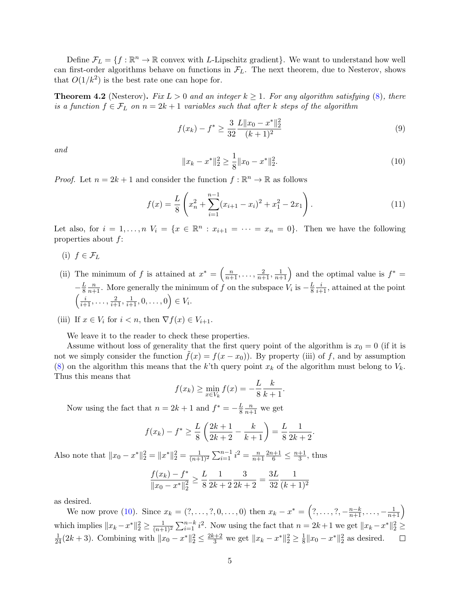Define  $\mathcal{F}_L = \{f : \mathbb{R}^n \to \mathbb{R} \text{ convex with } L\text{-Lipschitz gradient}\}\.$  We want to understand how well can first-order algorithms behave on functions in  $\mathcal{F}_L$ . The next theorem, due to Nesterov, shows that  $O(1/k^2)$  is the best rate one can hope for.

**Theorem 4.2** (Nesterov). Fix  $L > 0$  and an integer  $k \ge 1$ . For any algorithm satisfying [\(8\)](#page-3-1), there is a function  $f \in \mathcal{F}_L$  on  $n = 2k + 1$  variables such that after k steps of the algorithm

$$
f(x_k) - f^* \ge \frac{3}{32} \frac{L \|x_0 - x^*\|_2^2}{(k+1)^2} \tag{9}
$$

and

<span id="page-4-0"></span>
$$
||x_k - x^*||_2^2 \ge \frac{1}{8} ||x_0 - x^*||_2^2.
$$
\n(10)

*Proof.* Let  $n = 2k + 1$  and consider the function  $f : \mathbb{R}^n \to \mathbb{R}$  as follows

$$
f(x) = \frac{L}{8} \left( x_n^2 + \sum_{i=1}^{n-1} (x_{i+1} - x_i)^2 + x_1^2 - 2x_1 \right).
$$
 (11)

Let also, for  $i = 1, ..., n$   $V_i = \{x \in \mathbb{R}^n : x_{i+1} = \cdots = x_n = 0\}$ . Then we have the following properties about f:

- (i)  $f \in \mathcal{F}_L$
- (ii) The minimum of f is attained at  $x^* = \left(\frac{n}{n+1}, \ldots, \frac{2}{n+1}, \frac{1}{n+1}\right)$  and the optimal value is  $f^* =$  $-\frac{L}{8}$ 8  $\frac{n}{n+1}$ . More generally the minimum of f on the subspace  $V_i$  is  $-\frac{L}{8}$ 8  $\frac{i}{i+1}$ , attained at the point  $\left(\frac{i}{i+1}, \ldots, \frac{2}{i+1}, \frac{1}{i+1}, 0, \ldots, 0\right) \in V_i.$
- (iii) If  $x \in V_i$  for  $i < n$ , then  $\nabla f(x) \in V_{i+1}$ .

We leave it to the reader to check these properties.

Assume without loss of generality that the first query point of the algorithm is  $x_0 = 0$  (if it is not we simply consider the function  $\tilde{f}(x) = f(x - x_0)$ . By property (iii) of f, and by assumption [\(8\)](#page-3-1) on the algorithm this means that the k'th query point  $x_k$  of the algorithm must belong to  $V_k$ . Thus this means that

$$
f(x_k) \ge \min_{x \in V_k} f(x) = -\frac{L}{8} \frac{k}{k+1}.
$$

Now using the fact that  $n = 2k + 1$  and  $f^* = -\frac{L}{8}$ 8  $\frac{n}{n+1}$  we get

$$
f(x_k) - f^* \ge \frac{L}{8} \left( \frac{2k+1}{2k+2} - \frac{k}{k+1} \right) = \frac{L}{8} \frac{1}{2k+2}.
$$

Also note that  $||x_0 - x^*||_2^2 = ||x^*||_2^2 = \frac{1}{(n+1)^2} \sum_{i=1}^{n-1} i^2 = \frac{n}{n+1}$  $n+1$  $\frac{2n+1}{6} \leq \frac{n+1}{3}$  $\frac{+1}{3}$ , thus

$$
\frac{f(x_k) - f^*}{\|x_0 - x^*\|_2^2} \ge \frac{L}{8} \frac{1}{2k + 2} \frac{3}{2k + 2} = \frac{3L}{32} \frac{1}{(k+1)^2}
$$

as desired.

We now prove [\(10\)](#page-4-0). Since  $x_k = (?, \ldots, ?, 0, \ldots, 0)$  then  $x_k - x^* = (?, \ldots, ', -\frac{n-k}{n+1}, \ldots, -\frac{1}{n+1})$ which implies  $||x_k - x^*||_2^2 \ge \frac{1}{(n+1)^2} \sum_{i=1}^{n-k} i^2$ . Now using the fact that  $n = 2k+1$  we get  $||x_k - x^*||_2^2 \ge$  $\frac{1}{24}(2k+3)$ . Combining with  $||x_0 - x^*||_2^2 \le \frac{2k+2}{3}$  we get  $||x_k - x^*||_2^2 \ge \frac{1}{8}$  $\frac{1}{8}||x_0 - x^*||_2^2$  as desired.  $\Box$